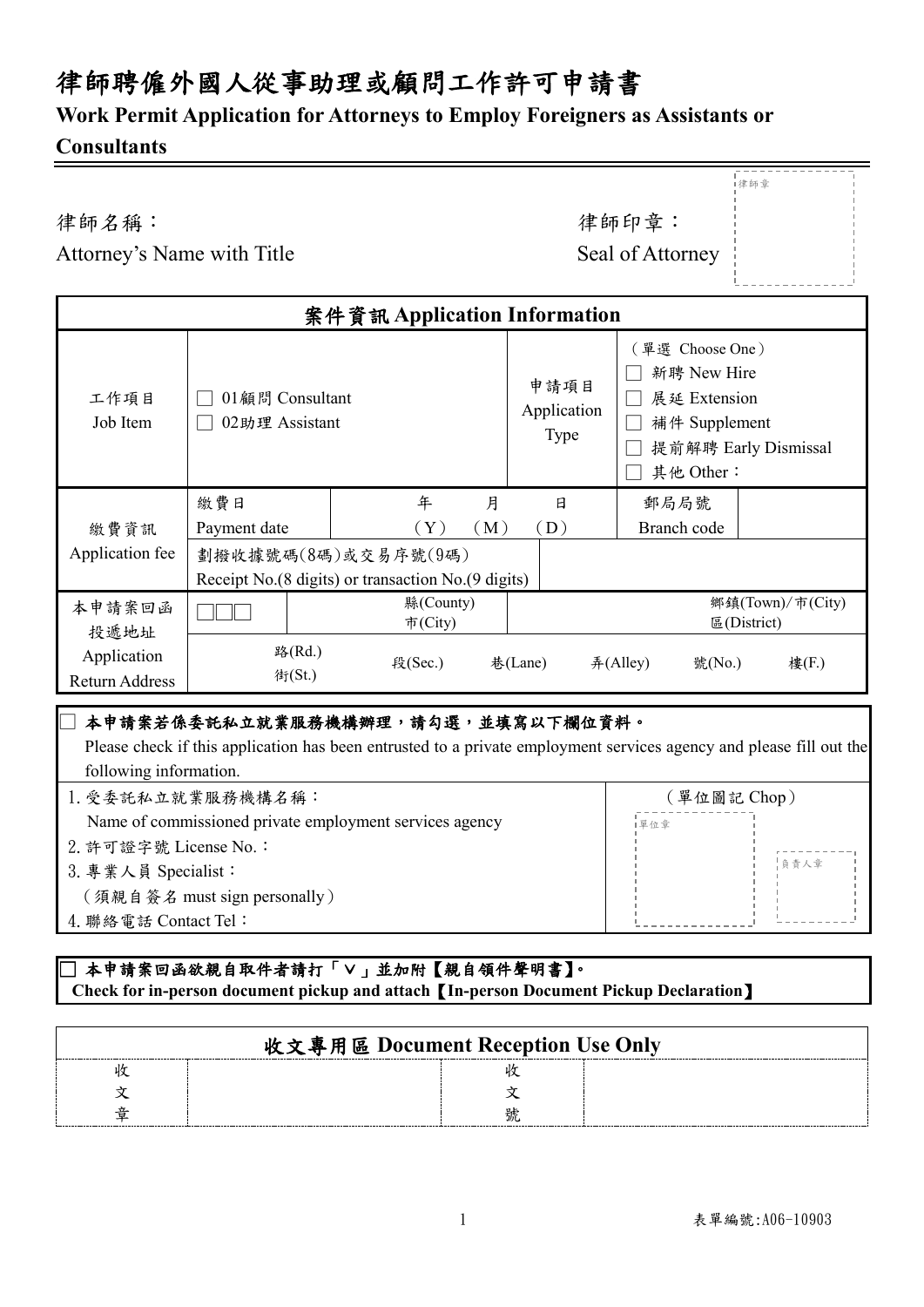## 律師聘僱外國人從事助理或顧問工作許可申請書

### **Work Permit Application for Attorneys to Employ Foreigners as Assistants or**

### **Consultants**

J

律師名稱: カランチン アンチン アンチン すいこく 律師印章:

|<br>|律師章

| Attorney's Name with Title | Seal of Attorney |
|----------------------------|------------------|
|----------------------------|------------------|

| Seal of Attorney |  |
|------------------|--|
|                  |  |
|                  |  |
|                  |  |

| 案件資訊 Application Information  |                                   |                                                      |                                    |                                                                              |                                 |
|-------------------------------|-----------------------------------|------------------------------------------------------|------------------------------------|------------------------------------------------------------------------------|---------------------------------|
| 工作項目<br>Job Item              | 01顧問 Consultant<br>02助理 Assistant |                                                      | 申請項目<br>Application<br><b>Type</b> | [單選 Choose One)<br>新聘 New Hire<br>展延 Extension<br>補件 Supplement<br>其他 Other: | 提前解聘 Early Dismissal            |
|                               | 繳費日                               | 年                                                    | 月<br>日                             | 郵局局號                                                                         |                                 |
| 繳費資訊                          | Payment date                      | $(\,\mathrm{Y}\,)$                                   | (M)<br>(D)                         | Branch code                                                                  |                                 |
| Application fee               |                                   | 劃撥收據號碼(8碼)或交易序號(9碼)                                  |                                    |                                                                              |                                 |
|                               |                                   | Receipt No. (8 digits) or transaction No. (9 digits) |                                    |                                                                              |                                 |
| 本申請案回函<br>投遞地址                |                                   | 縣 $(Country)$<br>市 $(City)$                          |                                    |                                                                              | 鄉鎮(Town)/市(City)<br>E(District) |
| Application<br>Return Address | 路(Rd.)<br>街(St.)                  | 段(Sec.)                                              | 巷(Lane)                            | $#$ (Alley)<br>號 $(No)$                                                      | 樓(F.)                           |

### □ 本申請案若係委託私立就業服務機構辦理,請勾選,並填寫以下欄位資料。

 Please check if this application has been entrusted to a private employment services agency and please fill out the following information.

1.受委託私立就業服務機構名稱: Name of commissioned private employment services agency 2.許可證字號 License No.: 3.專業人員 Specialist: (須親自簽名 must sign personally) 4.聯絡電話 Contact Tel: (單位圖記 Chop) —<br>— 負責人章 |單位章

### ]本申請案回函欲親自取件者請打「∨」並加附【親自領件聲明書】。  **Check for in-person document pickup and attach**【**In-person Document Pickup Declaration**】

| 收文專用區 Document Reception Use Only |  |
|-----------------------------------|--|
|                                   |  |
|                                   |  |
|                                   |  |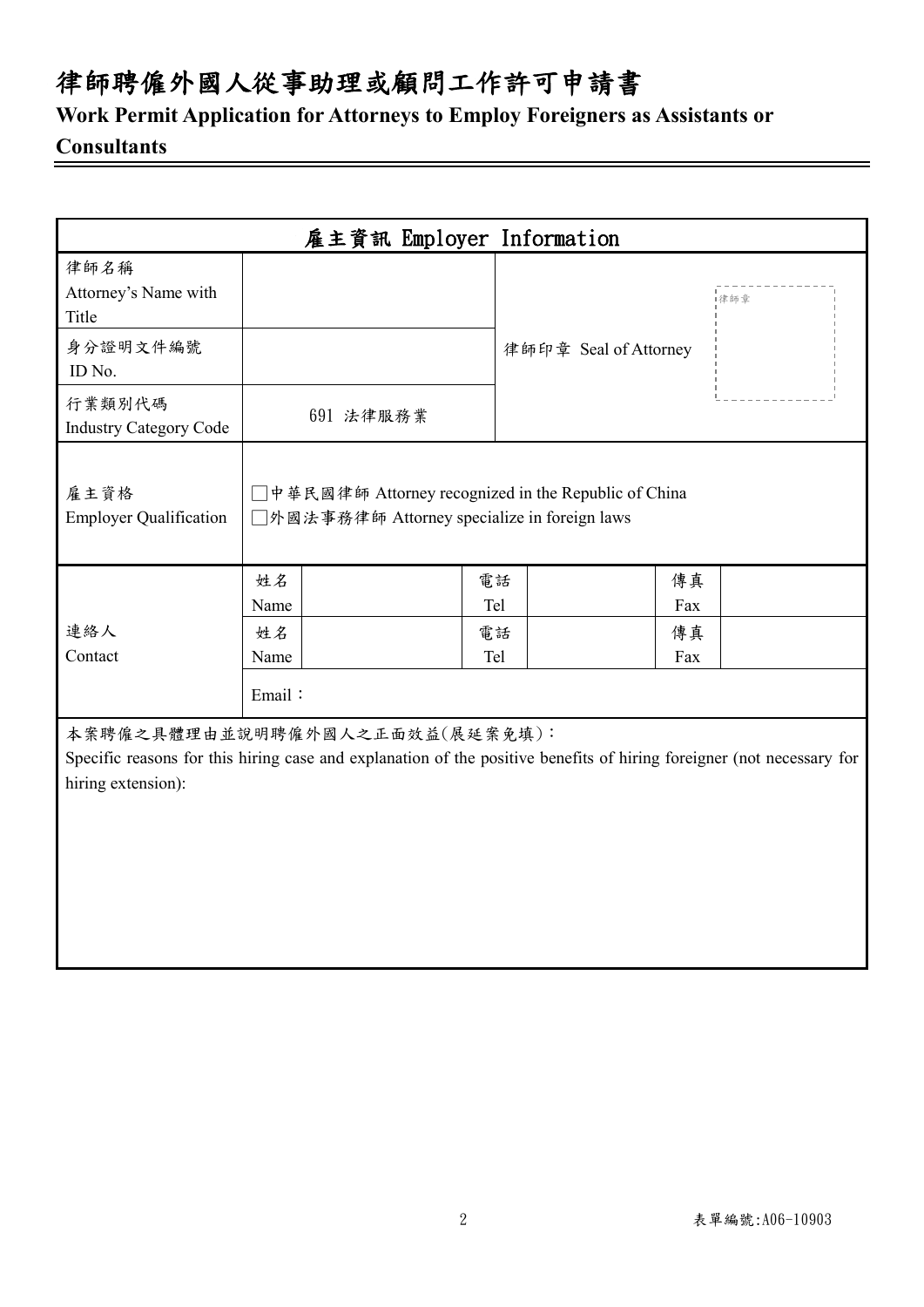# 律師聘僱外國人從事助理或顧問工作許可申請書

**Work Permit Application for Attorneys to Employ Foreigners as Assistants or**

### **Consultants**

|                                                                                                                                                                               |                                    | 雇主資訊 Employer Information                                                                            |                        |                       |                        |     |  |
|-------------------------------------------------------------------------------------------------------------------------------------------------------------------------------|------------------------------------|------------------------------------------------------------------------------------------------------|------------------------|-----------------------|------------------------|-----|--|
| 律師名稱<br>Attorney's Name with<br>Title<br>身分證明文件編號<br>ID No.                                                                                                                   |                                    |                                                                                                      |                        | 律師印章 Seal of Attorney |                        | 律師章 |  |
| 行業類別代碼<br><b>Industry Category Code</b>                                                                                                                                       |                                    | 691 法律服務業                                                                                            |                        |                       |                        |     |  |
| 雇主資格<br><b>Employer Qualification</b>                                                                                                                                         |                                    | □中華民國律師 Attorney recognized in the Republic of China<br>□外國法事務律師 Attorney specialize in foreign laws |                        |                       |                        |     |  |
| 連絡人<br>Contact                                                                                                                                                                | 姓名<br>Name<br>姓名<br>Name<br>Email: |                                                                                                      | 電話<br>Tel<br>電話<br>Tel |                       | 傳真<br>Fax<br>傳真<br>Fax |     |  |
| 本案聘僱之具體理由並說明聘僱外國人之正面效益(展延案免填):<br>Specific reasons for this hiring case and explanation of the positive benefits of hiring foreigner (not necessary for<br>hiring extension): |                                    |                                                                                                      |                        |                       |                        |     |  |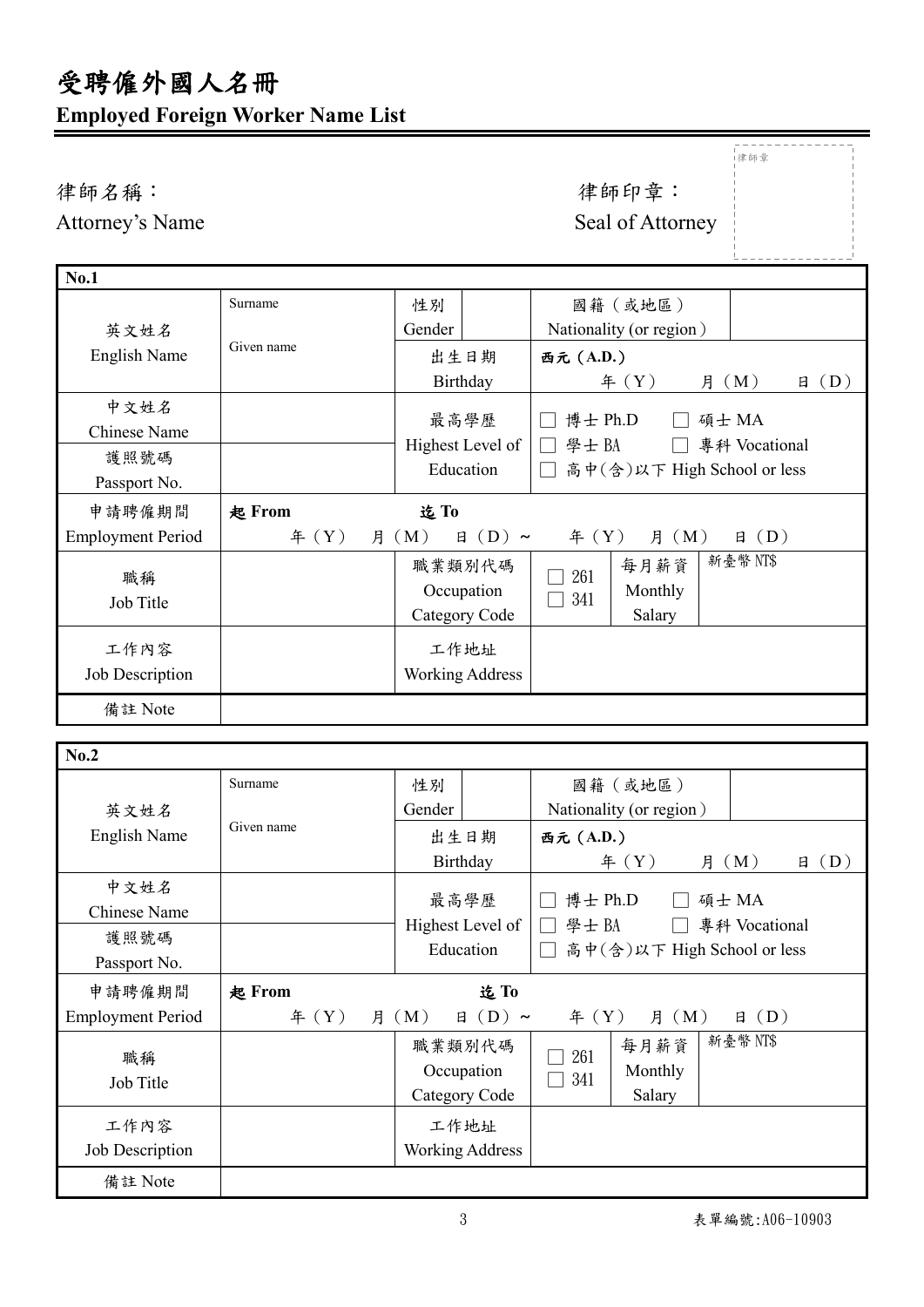# 受聘僱外國人名冊 **Employed Foreign Worker Name List**

└<br>──

|                          |               |                            |                             | i律師章           |
|--------------------------|---------------|----------------------------|-----------------------------|----------------|
| 律師名稱:                    |               |                            | 律師印章:                       |                |
| Attorney's Name          |               |                            | Seal of Attorney            |                |
|                          |               |                            |                             |                |
| <b>No.1</b>              |               |                            |                             |                |
|                          | Surname       | 性別                         | 國籍(或地區)                     |                |
| 英文姓名                     |               | Gender                     | Nationality (or region)     |                |
| <b>English Name</b>      | Given name    | 出生日期                       | 西元 (A.D.)                   |                |
|                          |               | Birthday                   | # (Y)<br>月 (M)              | (D)<br>日       |
| 中文姓名                     |               | 最高學歷                       | 博士 Ph.D<br>碩士 MA            |                |
| <b>Chinese Name</b>      |               |                            |                             |                |
| 護照號碼                     |               | Highest Level of           | 學士BA                        | 專科 Vocational  |
| Passport No.             |               | Education                  | 高中(含)以下 High School or less |                |
| 申請聘僱期間                   | 起 From        | 迄To                        |                             |                |
| <b>Employment Period</b> | $\text{4}(Y)$ | 月 (M)<br>$\boxminus$ (D) ~ | 月 (M)<br>f(X)               | $\boxplus$ (D) |
|                          |               | 職業類別代碼                     | 每月薪資<br>261                 | 新臺幣 NT\$       |
| 職稱                       |               | Occupation                 | Monthly<br>341              |                |
| Job Title                |               | Category Code              | Salary                      |                |
| 工作內容                     |               | 工作地址                       |                             |                |
| Job Description          |               | <b>Working Address</b>     |                             |                |
| 備註 Note                  |               |                            |                             |                |

| No.2                        |            |                                       |                                                                           |
|-----------------------------|------------|---------------------------------------|---------------------------------------------------------------------------|
|                             | Surname    | 性別                                    | 國籍(或地區)                                                                   |
| 英文姓名                        |            | Gender                                | Nationality (or region)                                                   |
| English Name                | Given name | 出生日期                                  | 西元 (A.D.)                                                                 |
|                             |            | Birthday                              | f(X)<br>$\boxplus$ (D)<br>月 (M)                                           |
| 中文姓名<br><b>Chinese Name</b> |            | 最高學歷<br>Highest Level of              | 博士 Ph.D<br>碩士 MA<br>學士BA<br>專科 Vocational<br>$\mathbf{L}$<br>$\mathbf{1}$ |
| 護照號碼<br>Passport No.        |            | Education                             | 高中(含)以下 High School or less<br>$\mathbf{L}$                               |
| 申請聘僱期間                      | 起 From     | 迄To                                   |                                                                           |
| <b>Employment Period</b>    | 年 $(Y)$    | 月 (M)<br>$\boxminus$ (D) ~            | 月 (M)<br>$\boxplus$ (D)<br>年 $(Y)$                                        |
|                             |            |                                       |                                                                           |
| 職稱<br><b>Job Title</b>      |            | 職業類別代碼<br>Occupation<br>Category Code | 新臺幣 NT\$<br>每月薪資<br>261<br>Monthly<br>341<br>Salary                       |
| 工作內容<br>Job Description     |            | 工作地址<br><b>Working Address</b>        |                                                                           |

 $-$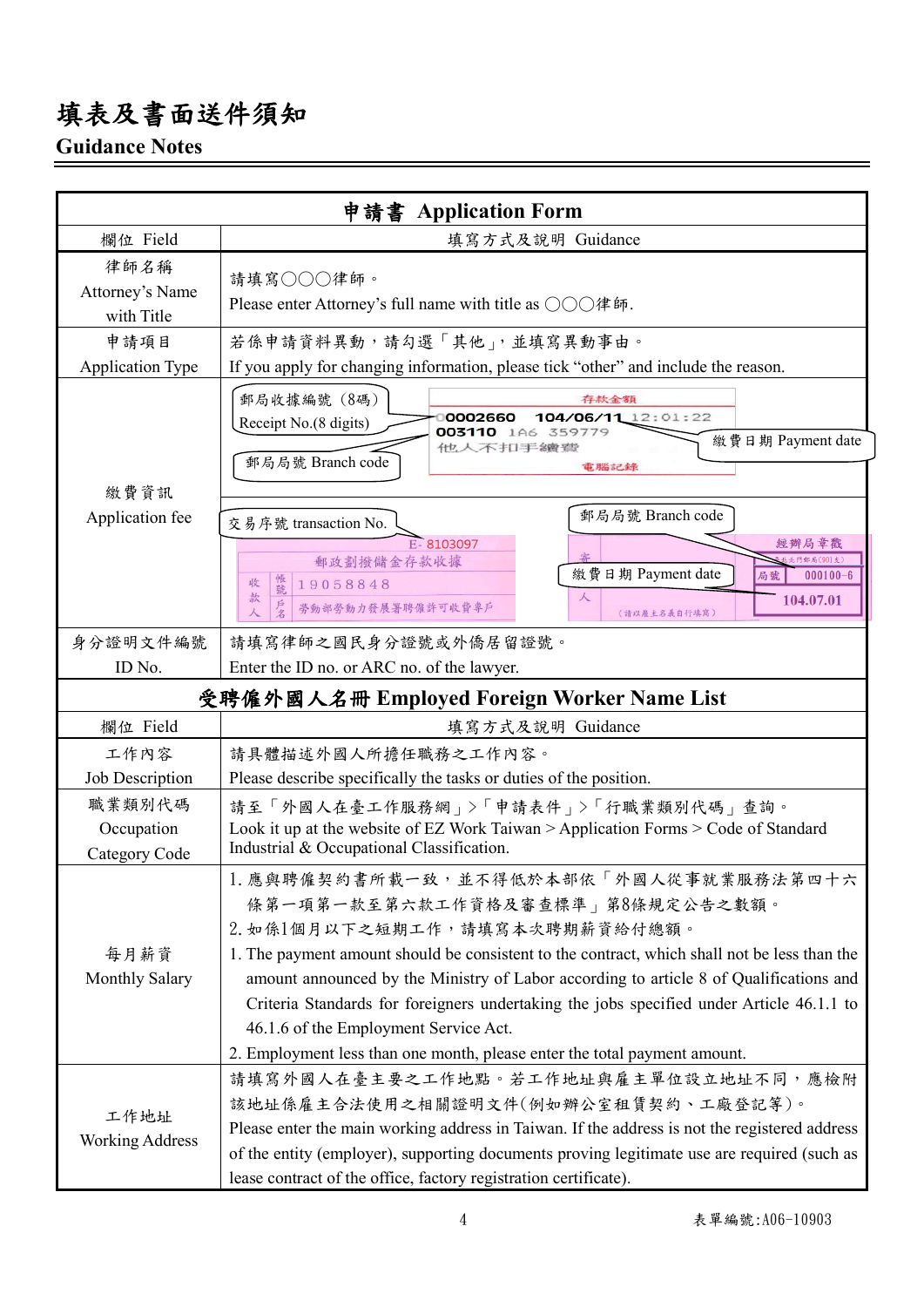# 填表及書面送件須知

## **Guidance Notes**

|                                            | 申請書 Application Form                                                                                                                                                                                                                                                                                                                                                                                                                                                                                                     |  |  |
|--------------------------------------------|--------------------------------------------------------------------------------------------------------------------------------------------------------------------------------------------------------------------------------------------------------------------------------------------------------------------------------------------------------------------------------------------------------------------------------------------------------------------------------------------------------------------------|--|--|
| 欄位 Field                                   | 填寫方式及說明 Guidance                                                                                                                                                                                                                                                                                                                                                                                                                                                                                                         |  |  |
| 律師名稱<br>Attorney's Name<br>with Title      | 請填寫○○○律師。<br>Please enter Attorney's full name with title as ○○○律師.                                                                                                                                                                                                                                                                                                                                                                                                                                                      |  |  |
| 申請項目<br><b>Application Type</b>            | 若係申請資料異動,請勾選「其他」,並填寫異動事由。<br>If you apply for changing information, please tick "other" and include the reason.                                                                                                                                                                                                                                                                                                                                                                                                          |  |  |
|                                            | 郵局收據編號 (8碼)<br>存款金額<br>0002660<br>104/06/11 12:01:22<br>Receipt No.(8 digits)<br>003110 1A6 359779<br>繳費日期 Payment date<br>他人不扣手續讀<br>郵局局號 Branch code                                                                                                                                                                                                                                                                                                                                                                   |  |  |
| 繳費資訊<br>Application fee                    | 電腦記錄<br>郵局局號 Branch code<br>交易序號 transaction No.                                                                                                                                                                                                                                                                                                                                                                                                                                                                         |  |  |
|                                            | E-8103097<br>經辦局章戳<br>北門郵局(901支)<br>郵政劃撥儲金存款收據<br>繳費日期 Payment date<br>$000100 - 6$<br>局號<br>帳號<br>收<br>19058848<br>款<br>人<br>104.07.01<br>戶名<br>勞動部勞動力發展署聘僱許可收費專戶<br>$\lambda$<br>(請以雇主名義自行填寫)                                                                                                                                                                                                                                                                                                                          |  |  |
| 身分證明文件編號                                   | 請填寫律師之國民身分證號或外僑居留證號。                                                                                                                                                                                                                                                                                                                                                                                                                                                                                                     |  |  |
| ID No.                                     | Enter the ID no. or ARC no. of the lawyer.                                                                                                                                                                                                                                                                                                                                                                                                                                                                               |  |  |
| 受聘僱外國人名冊 Employed Foreign Worker Name List |                                                                                                                                                                                                                                                                                                                                                                                                                                                                                                                          |  |  |
| 欄位 Field                                   | 填寫方式及說明 Guidance                                                                                                                                                                                                                                                                                                                                                                                                                                                                                                         |  |  |
| 工作內容                                       | 請具體描述外國人所擔任職務之工作內容。                                                                                                                                                                                                                                                                                                                                                                                                                                                                                                      |  |  |
| Job Description                            | Please describe specifically the tasks or duties of the position.                                                                                                                                                                                                                                                                                                                                                                                                                                                        |  |  |
| 職業類別代碼<br>Occupation<br>Category Code      | 請至「外國人在臺工作服務網」>「申請表件」>「行職業類別代碼」查詢。<br>Look it up at the website of EZ Work Taiwan > Application Forms > Code of Standard<br>Industrial & Occupational Classification.                                                                                                                                                                                                                                                                                                                                                    |  |  |
| 每月薪資<br>Monthly Salary                     | 1. 應與聘僱契約書所載一致,並不得低於本部依「外國人從事就業服務法第四十六<br>條第一項第一款至第六款工作資格及審查標準」第8條規定公告之數額。<br>2. 如係1個月以下之短期工作,請填寫本次聘期薪資給付總額。<br>1. The payment amount should be consistent to the contract, which shall not be less than the<br>amount announced by the Ministry of Labor according to article 8 of Qualifications and<br>Criteria Standards for foreigners undertaking the jobs specified under Article 46.1.1 to<br>46.1.6 of the Employment Service Act.<br>2. Employment less than one month, please enter the total payment amount. |  |  |
| 工作地址<br><b>Working Address</b>             | 請填寫外國人在臺主要之工作地點。若工作地址與雇主單位設立地址不同,應檢附<br>該地址係雇主合法使用之相關證明文件(例如辦公室租賃契約、工廠登記等)。<br>Please enter the main working address in Taiwan. If the address is not the registered address<br>of the entity (employer), supporting documents proving legitimate use are required (such as<br>lease contract of the office, factory registration certificate).                                                                                                                                                                          |  |  |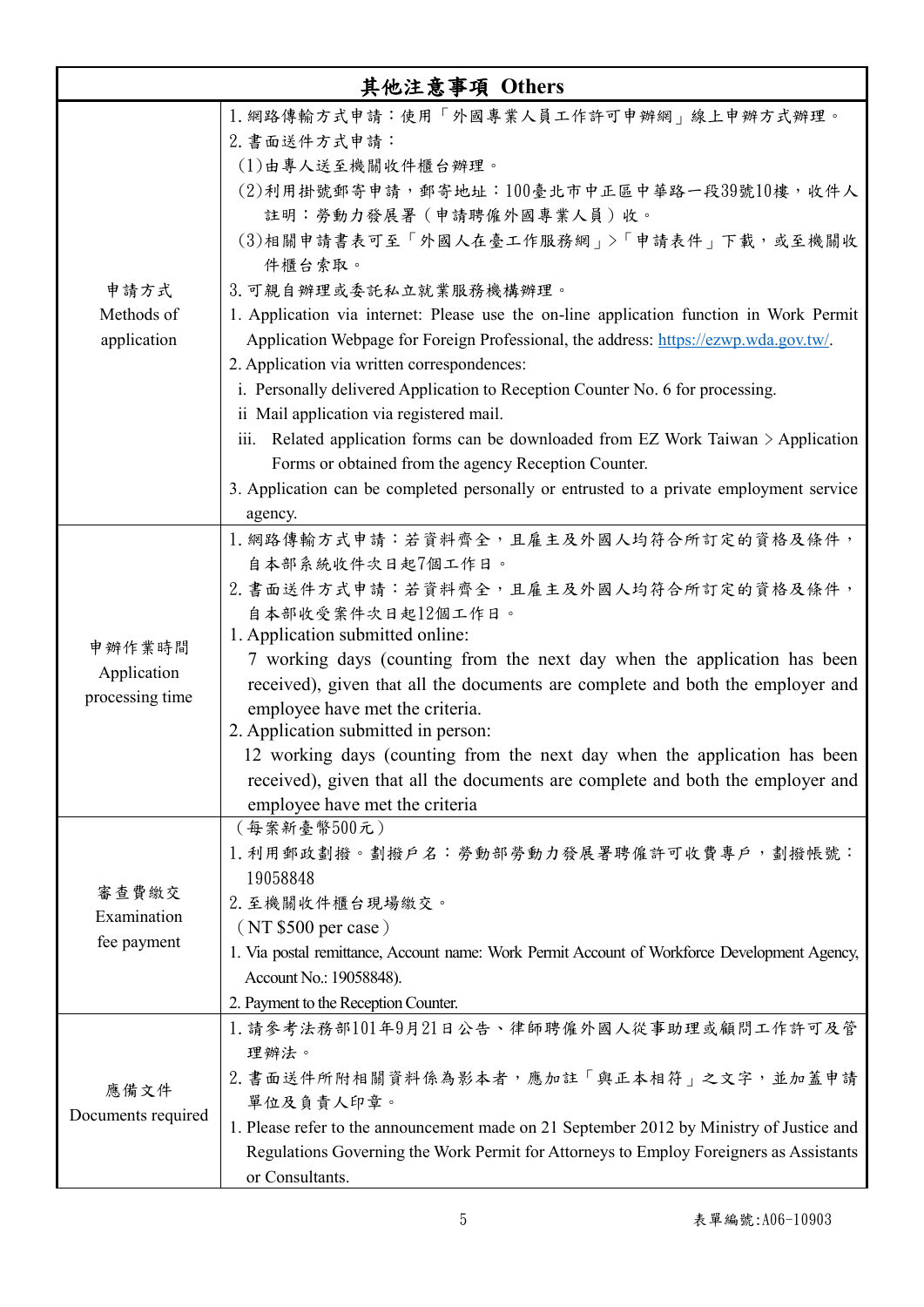|                                          | 其他注意事項 Others                                                                                                                                                                                                                                                                                                                                                                                                                                                                                                                                                                                                                                                                                                                                                                                                                                               |
|------------------------------------------|-------------------------------------------------------------------------------------------------------------------------------------------------------------------------------------------------------------------------------------------------------------------------------------------------------------------------------------------------------------------------------------------------------------------------------------------------------------------------------------------------------------------------------------------------------------------------------------------------------------------------------------------------------------------------------------------------------------------------------------------------------------------------------------------------------------------------------------------------------------|
| 申請方式<br>Methods of<br>application        | 1. 網路傳輸方式申請:使用「外國專業人員工作許可申辦網」線上申辦方式辦理。<br>2. 書面送件方式申請:<br>(1)由專人送至機關收件櫃台辦理。<br>(2)利用掛號郵寄申請,郵寄地址:100臺北市中正區中華路一段39號10樓,收件人<br>註明:勞動力發展署 (申請聘僱外國專業人員)收。<br>(3)相關申請書表可至「外國人在臺工作服務網」>「申請表件」下載,或至機關收<br>件櫃台索取。<br>3. 可親自辦理或委託私立就業服務機構辦理。<br>1. Application via internet: Please use the on-line application function in Work Permit<br>Application Webpage for Foreign Professional, the address: https://ezwp.wda.gov.tw/.<br>2. Application via written correspondences:<br>i. Personally delivered Application to Reception Counter No. 6 for processing.<br>ii Mail application via registered mail.<br>iii. Related application forms can be downloaded from EZ Work Taiwan $\geq$ Application<br>Forms or obtained from the agency Reception Counter.<br>3. Application can be completed personally or entrusted to a private employment service<br>agency. |
| 申辦作業時間<br>Application<br>processing time | 1. 網路傳輸方式申請:若資料齊全,且雇主及外國人均符合所訂定的資格及條件,<br>自本部系統收件次日起7個工作日。<br>2. 書面送件方式申請:若資料齊全,且雇主及外國人均符合所訂定的資格及條件,<br>自本部收受案件次日起12個工作日。<br>1. Application submitted online:<br>7 working days (counting from the next day when the application has been<br>received), given that all the documents are complete and both the employer and<br>employee have met the criteria.<br>2. Application submitted in person:<br>12 working days (counting from the next day when the application has been<br>received), given that all the documents are complete and both the employer and<br>employee have met the criteria                                                                                                                                                                                                                                                      |
| 審查費繳交<br>Examination<br>fee payment      | (每案新臺幣500元)<br>1. 利用郵政劃撥。劃撥戶名:勞動部勞動力發展署聘僱許可收費專戶,劃撥帳號:<br>19058848<br>2. 至機關收件櫃台現場繳交。<br>(NT \$500 per case)<br>1. Via postal remittance, Account name: Work Permit Account of Workforce Development Agency,<br>Account No.: 19058848).<br>2. Payment to the Reception Counter.                                                                                                                                                                                                                                                                                                                                                                                                                                                                                                                                                                              |
| 應備文件<br>Documents required               | 1. 請參考法務部101年9月21日公告、律師聘僱外國人從事助理或顧問工作許可及管<br>理辦法。<br>2. 書面送件所附相關資料係為影本者,應加註「與正本相符」之文字,並加蓋申請<br>單位及負責人印章。<br>1. Please refer to the announcement made on 21 September 2012 by Ministry of Justice and<br>Regulations Governing the Work Permit for Attorneys to Employ Foreigners as Assistants<br>or Consultants.                                                                                                                                                                                                                                                                                                                                                                                                                                                                                                                                           |